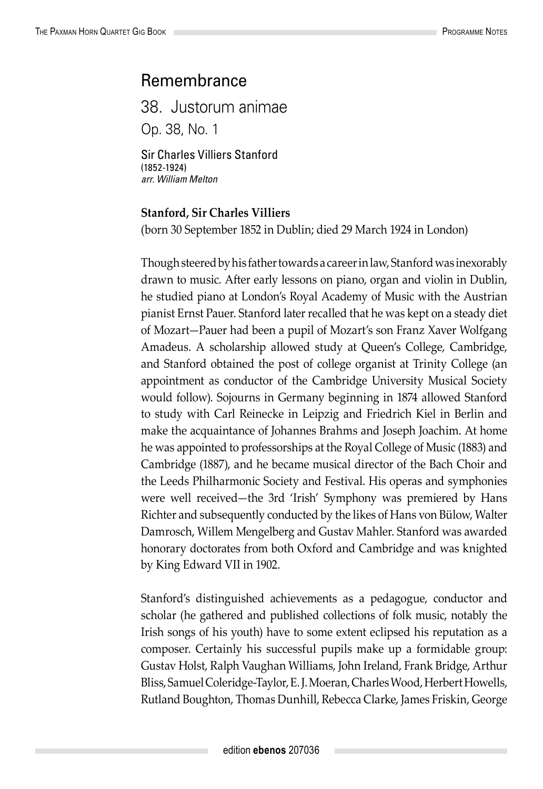## Remembrance

38. Justorum animae Op. 38, No. 1

Sir Charles Villiers Stanford (1852-1924) *arr. William Melton*

## **Stanford, Sir Charles Villiers**

(born 30 September 1852 in Dublin; died 29 March 1924 in London)

Though steered by his father towards a career in law, Stanford was inexorably drawn to music. After early lessons on piano, organ and violin in Dublin, he studied piano at London's Royal Academy of Music with the Austrian pianist Ernst Pauer. Stanford later recalled that he was kept on a steady diet of Mozart—Pauer had been a pupil of Mozart's son Franz Xaver Wolfgang Amadeus. A scholarship allowed study at Queen's College, Cambridge, and Stanford obtained the post of college organist at Trinity College (an appointment as conductor of the Cambridge University Musical Society would follow). Sojourns in Germany beginning in 1874 allowed Stanford to study with Carl Reinecke in Leipzig and Friedrich Kiel in Berlin and make the acquaintance of Johannes Brahms and Joseph Joachim. At home he was appointed to professorships at the Royal College of Music (1883) and Cambridge (1887), and he became musical director of the Bach Choir and the Leeds Philharmonic Society and Festival. His operas and symphonies were well received—the 3rd 'Irish' Symphony was premiered by Hans Richter and subsequently conducted by the likes of Hans von Bülow, Walter Damrosch, Willem Mengelberg and Gustav Mahler. Stanford was awarded honorary doctorates from both Oxford and Cambridge and was knighted by King Edward VII in 1902.

Stanford's distinguished achievements as a pedagogue, conductor and scholar (he gathered and published collections of folk music, notably the Irish songs of his youth) have to some extent eclipsed his reputation as a composer. Certainly his successful pupils make up a formidable group: Gustav Holst, Ralph Vaughan Williams, John Ireland, Frank Bridge, Arthur Bliss, Samuel Coleridge-Taylor, E. J. Moeran, Charles Wood, Herbert Howells, Rutland Boughton, Thomas Dunhill, Rebecca Clarke, James Friskin, George